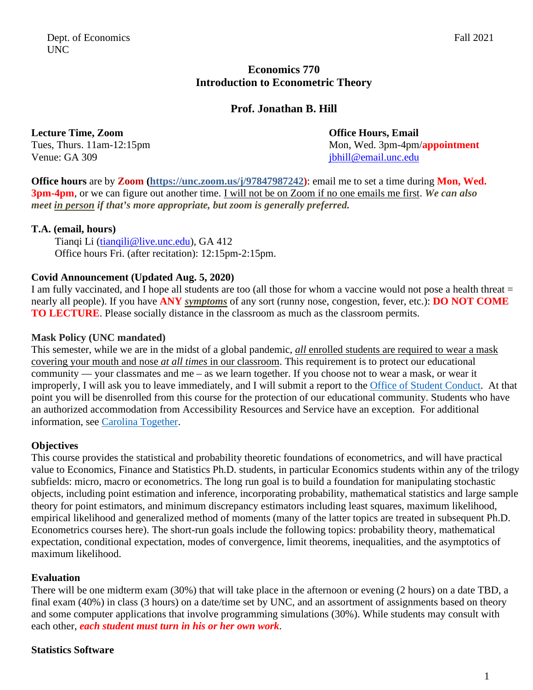# **Economics 770 Introduction to Econometric Theory**

# **Prof. Jonathan B. Hill**

## **Lecture Time, Zoom Community Community Community Community Community Community Community Community Community Community Community Community Community Community Community Community Community Community Community Community Co**

Venue: GA 309 jbhill@email.unc.edu

Tues, Thurs. 11am-12:15pm

**Office hours** are by **Zoom (https://unc.zoom.us/j/97847987242)**: email me to set a time during **Mon, Wed. 3pm-4pm**, or we can figure out another time. I will not be on Zoom if no one emails me first. *We can also meet in person if that's more appropriate, but zoom is generally preferred.*

### **T.A. (email, hours)**

Tianqi Li (tianqili@live.unc.edu), GA 412 Office hours Fri. (after recitation): 12:15pm-2:15pm.

## **Covid Announcement (Updated Aug. 5, 2020)**

I am fully vaccinated, and I hope all students are too (all those for whom a vaccine would not pose a health threat = nearly all people). If you have **ANY** *symptoms* of any sort (runny nose, congestion, fever, etc.): **DO NOT COME TO LECTURE**. Please socially distance in the classroom as much as the classroom permits.

## **Mask Policy (UNC mandated)**

This semester, while we are in the midst of a global pandemic, *all* enrolled students are required to wear a mask covering your mouth and nose *at all times* in our classroom. This requirement is to protect our educational community — your classmates and me – as we learn together. If you choose not to wear a mask, or wear it improperly, I will ask you to leave immediately, and I will submit a report to the Office of Student Conduct. At that point you will be disenrolled from this course for the protection of our educational community. Students who have an authorized accommodation from Accessibility Resources and Service have an exception. For additional information, see Carolina Together.

# **Objectives**

This course provides the statistical and probability theoretic foundations of econometrics, and will have practical value to Economics, Finance and Statistics Ph.D. students, in particular Economics students within any of the trilogy subfields: micro, macro or econometrics. The long run goal is to build a foundation for manipulating stochastic objects, including point estimation and inference, incorporating probability, mathematical statistics and large sample theory for point estimators, and minimum discrepancy estimators including least squares, maximum likelihood, empirical likelihood and generalized method of moments (many of the latter topics are treated in subsequent Ph.D. Econometrics courses here). The short-run goals include the following topics: probability theory, mathematical expectation, conditional expectation, modes of convergence, limit theorems, inequalities, and the asymptotics of maximum likelihood.

### **Evaluation**

There will be one midterm exam (30%) that will take place in the afternoon or evening (2 hours) on a date TBD, a final exam (40%) in class (3 hours) on a date/time set by UNC, and an assortment of assignments based on theory and some computer applications that involve programming simulations (30%). While students may consult with each other, *each student must turn in his or her own work*.

### **Statistics Software**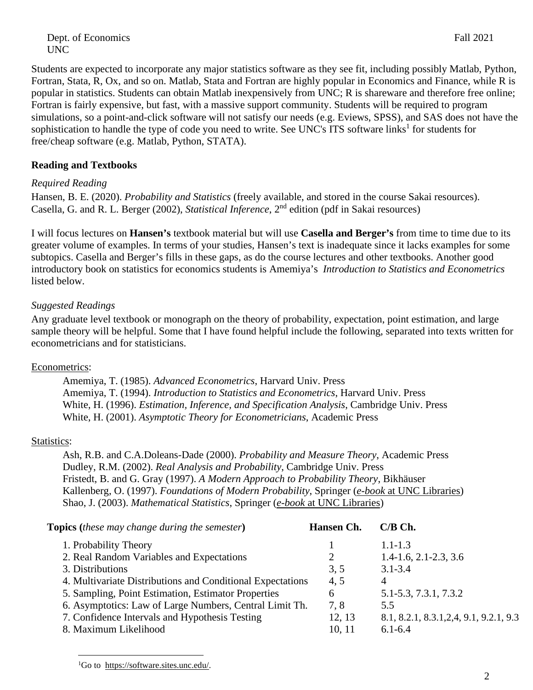Dept. of Economics Fall 2021 UNC

Students are expected to incorporate any major statistics software as they see fit, including possibly Matlab, Python, Fortran, Stata, R, Ox, and so on. Matlab, Stata and Fortran are highly popular in Economics and Finance, while R is popular in statistics. Students can obtain Matlab inexpensively from UNC; R is shareware and therefore free online; Fortran is fairly expensive, but fast, with a massive support community. Students will be required to program simulations, so a point-and-click software will not satisfy our needs (e.g. Eviews, SPSS), and SAS does not have the sophistication to handle the type of code you need to write. See UNC's ITS software links<sup>1</sup> for students for free/cheap software (e.g. Matlab, Python, STATA).

#### **Reading and Textbooks**

#### *Required Reading*

Hansen, B. E. (2020). *Probability and Statistics* (freely available, and stored in the course Sakai resources). Casella, G. and R. L. Berger (2002), *Statistical Inference*, 2nd edition (pdf in Sakai resources)

I will focus lectures on **Hansen's** textbook material but will use **Casella and Berger's** from time to time due to its greater volume of examples. In terms of your studies, Hansen's text is inadequate since it lacks examples for some subtopics. Casella and Berger's fills in these gaps, as do the course lectures and other textbooks. Another good introductory book on statistics for economics students is Amemiya's *Introduction to Statistics and Econometrics* listed below.

#### *Suggested Readings*

Any graduate level textbook or monograph on the theory of probability, expectation, point estimation, and large sample theory will be helpful. Some that I have found helpful include the following, separated into texts written for econometricians and for statisticians.

#### Econometrics:

Amemiya, T. (1985). *Advanced Econometrics*, Harvard Univ. Press Amemiya, T. (1994). *Introduction to Statistics and Econometrics*, Harvard Univ. Press White, H. (1996). *Estimation, Inference, and Specification Analysis*, Cambridge Univ. Press White, H. (2001). *Asymptotic Theory for Econometricians*, Academic Press

#### Statistics:

Ash, R.B. and C.A.Doleans-Dade (2000). *Probability and Measure Theory*, Academic Press Dudley, R.M. (2002). *Real Analysis and Probability*, Cambridge Univ. Press Fristedt, B. and G. Gray (1997). *A Modern Approach to Probability Theory*, Bikhäuser Kallenberg, O. (1997). *Foundations of Modern Probability*, Springer (*e-book* at UNC Libraries) Shao, J. (2003). *Mathematical Statistics*, Springer (*e-book* at UNC Libraries)

**Topics** (*these may change during the semester*) **Hansen Ch. C/B Ch.** 

| 1. Probability Theory                                      |        | $1.1 - 1.3$                              |
|------------------------------------------------------------|--------|------------------------------------------|
| 2. Real Random Variables and Expectations                  |        | $1.4 - 1.6$ , $2.1 - 2.3$ , $3.6$        |
| 3. Distributions                                           | 3, 5   | $3.1 - 3.4$                              |
| 4. Multivariate Distributions and Conditional Expectations | 4.5    | 4                                        |
| 5. Sampling, Point Estimation, Estimator Properties        | 6      | 5.1-5.3, 7.3.1, 7.3.2                    |
| 6. Asymptotics: Law of Large Numbers, Central Limit Th.    | 7.8    | 5.5                                      |
| 7. Confidence Intervals and Hypothesis Testing             | 12, 13 | 8.1, 8.2.1, 8.3.1, 2, 4, 9.1, 9.2.1, 9.3 |
| 8. Maximum Likelihood                                      | 10, 11 | $6.1 - 6.4$                              |